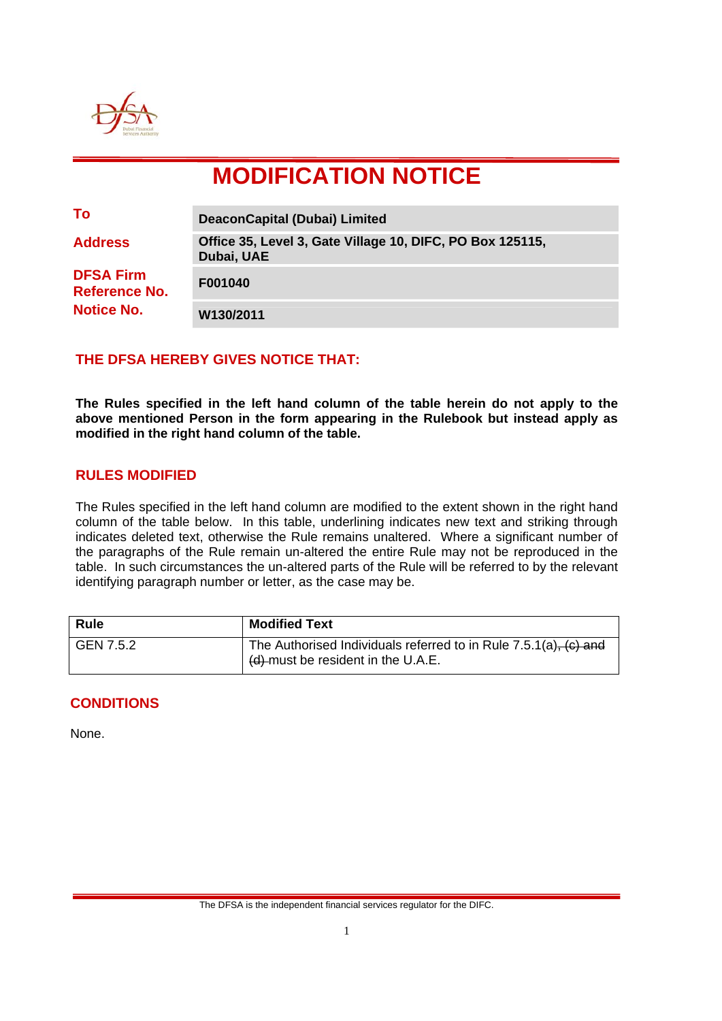

# **MODIFICATION NOTICE**

| To                                                            | <b>DeaconCapital (Dubai) Limited</b>                                    |
|---------------------------------------------------------------|-------------------------------------------------------------------------|
| <b>Address</b>                                                | Office 35, Level 3, Gate Village 10, DIFC, PO Box 125115,<br>Dubai, UAE |
| <b>DFSA Firm</b><br><b>Reference No.</b><br><b>Notice No.</b> | F001040                                                                 |
|                                                               | W130/2011                                                               |

## **THE DFSA HEREBY GIVES NOTICE THAT:**

**The Rules specified in the left hand column of the table herein do not apply to the above mentioned Person in the form appearing in the Rulebook but instead apply as modified in the right hand column of the table.** 

### **RULES MODIFIED**

The Rules specified in the left hand column are modified to the extent shown in the right hand column of the table below. In this table, underlining indicates new text and striking through indicates deleted text, otherwise the Rule remains unaltered. Where a significant number of the paragraphs of the Rule remain un-altered the entire Rule may not be reproduced in the table. In such circumstances the un-altered parts of the Rule will be referred to by the relevant identifying paragraph number or letter, as the case may be.

| <b>Rule</b> | <b>Modified Text</b>                                                                                                 |
|-------------|----------------------------------------------------------------------------------------------------------------------|
| GEN 7.5.2   | The Authorised Individuals referred to in Rule 7.5.1(a), (c) and<br>$\frac{1}{2}$ (d)-must be resident in the U.A.E. |

### **CONDITIONS**

None.